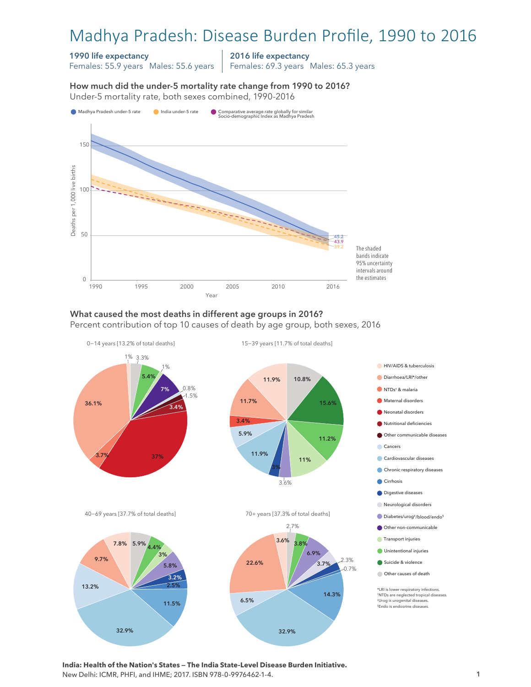# Madhya Pradesh: Disease Burden Profile, 1990 to 2016

#### 1990 life expectancy

Females: 55.9 years Males: 55.6 years

2016 life expectancy

Females: 69.3 years Males: 65.3 years

How much did the under-5 mortality rate change from 1990 to 2016? Under-5 mortality rate, both sexes combined, 1990-2016 Under-5 mortality rate, both sexes combined, 1990-2016 How much did the under-5 mortality rate change from 1990 to 2016?



## What caused the most deaths in different age groups in 2016?

Percent contribution of top 10 causes of death by age group, both sexes, 2016



**India: Health of the Nation's States — The India State-Level Disease Burden Initiative.**  New Delhi: ICMR, PHFI, and IHME; 2017. ISBN 978-0-9976462-1-4.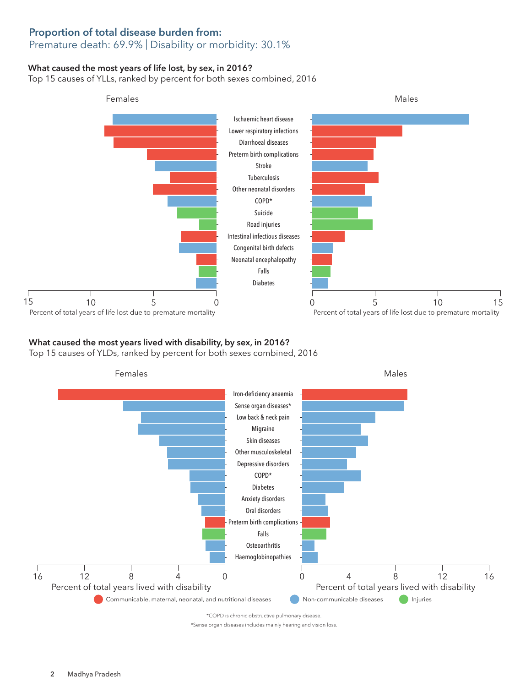## Proportion of total disease burden from:

## Premature death: 69.9% | Disability or morbidity: 30.1%

### What caused the most years of life lost, by sex, in 2016?

Top 15 causes of YLLs, ranked by percent for both sexes combined, 2016



### What caused the most years lived with disability, by sex, in 2016?

Top 15 causes of YLDs, ranked by percent for both sexes combined, 2016



\*Sense organ diseases includes mainly hearing and vision loss.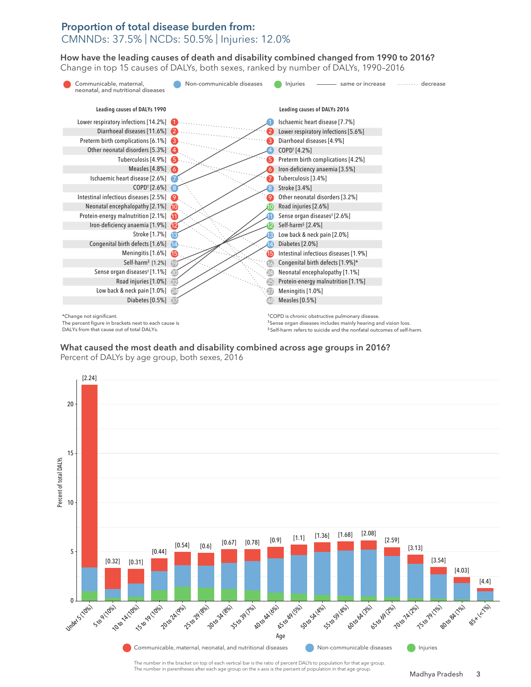#### Proportion of total disease burden from: CMNNDs: 37.5% | NCDs: 50.5% | Injuries: 12.0%

How have the leading causes of death and disability combined changed from 1990 to 2016? How have the leading causes of death and disability combined changed from 1990 to 2016? Change in top 15 causes of DALYs, both sexes, ranked by number of DALYs, 1990–2016 Change in top 15 causes of DALYs, both sexes, ranked by number of DALYs, 1990–2016



The percent figure in brackets next to each cause is DALYs from that cause out of total DALYs.

†COPD is chronic obstructive pulmonary disease. ‡Sense organ diseases includes mainly hearing and vision loss. § Self-harm refers to suicide and the nonfatal outcomes of self-harm.

What caused the most death and disability combined across age groups in 2016? What caused the most death and disability combined across age groups in 2016? Percent of DALYs by age group, both sexes, 2016 Percent of DALYs by age group, both sexes, 2016



The number in the bracket on top of each vertical bar is the ratio of percent DALYs to population for that age group. The number in parentheses after each age group on the x-axis is the percent of population in that age group.